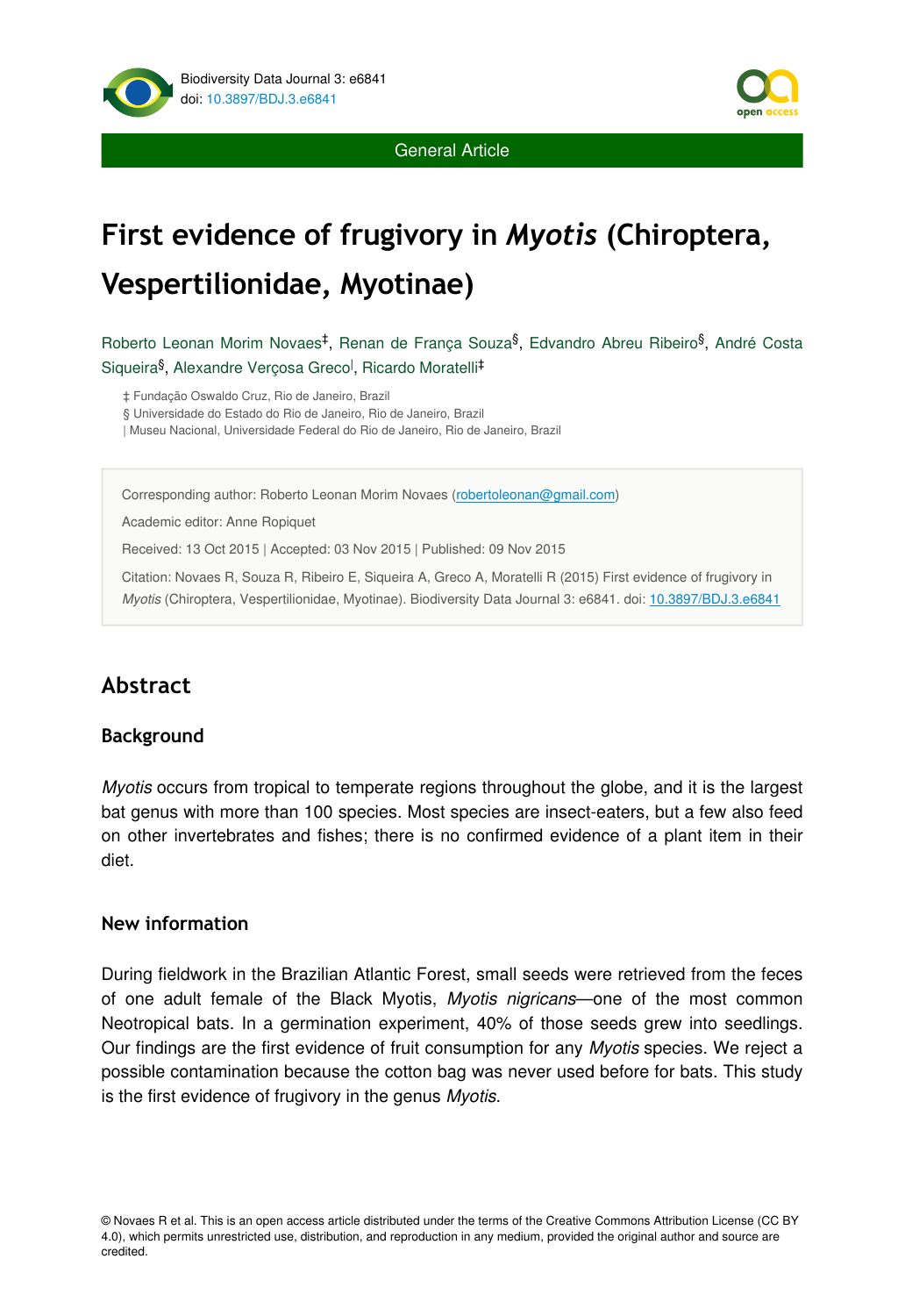



General Article

# **First evidence of frugivory in** *Myotis* **(Chiroptera, Vespertilionidae, Myotinae)**

Roberto Leonan Morim Novaes<sup>‡</sup>, Renan de França Souza<sup>§</sup>, Edvandro Abreu Ribeiro<sup>§</sup>, André Costa Siqueira<sup>§</sup>, Alexandre Verçosa Greco<sup>l</sup>, Ricardo Moratelli<sup>‡</sup>

‡ Fundação Oswaldo Cruz, Rio de Janeiro, Brazil

§ Universidade do Estado do Rio de Janeiro, Rio de Janeiro, Brazil

| Museu Nacional, Universidade Federal do Rio de Janeiro, Rio de Janeiro, Brazil

Corresponding author: Roberto Leonan Morim Novaes ([robertoleonan@gmail.com](mailto:robertoleonan@gmail.com?subject=Your%20manuscript%20in%20PWT%20#4515/BDJ%20#6841))

Academic editor: Anne Ropiquet

Received: 13 Oct 2015 | Accepted: 03 Nov 2015 | Published: 09 Nov 2015

Citation: Novaes R, Souza R, Ribeiro E, Siqueira A, Greco A, Moratelli R (2015) First evidence of frugivory in *Myotis* (Chiroptera, Vespertilionidae, Myotinae). Biodiversity Data Journal 3: e6841. doi: [10.3897/BDJ.3.e6841](http://dx.doi.org/10.3897/BDJ.3.e6841)

# **Abstract**

#### **Background**

*Myotis* occurs from tropical to temperate regions throughout the globe, and it is the largest bat genus with more than 100 species. Most species are insect-eaters, but a few also feed on other invertebrates and fishes; there is no confirmed evidence of a plant item in their diet.

#### **New information**

During fieldwork in the Brazilian Atlantic Forest, small seeds were retrieved from the feces of one adult female of the Black Myotis, *Myotis nigricans*—one of the most common Neotropical bats. In a germination experiment, 40% of those seeds grew into seedlings. Our findings are the first evidence of fruit consumption for any *Myotis* species. We reject a possible contamination because the cotton bag was never used before for bats. This study is the first evidence of frugivory in the genus *Myotis*.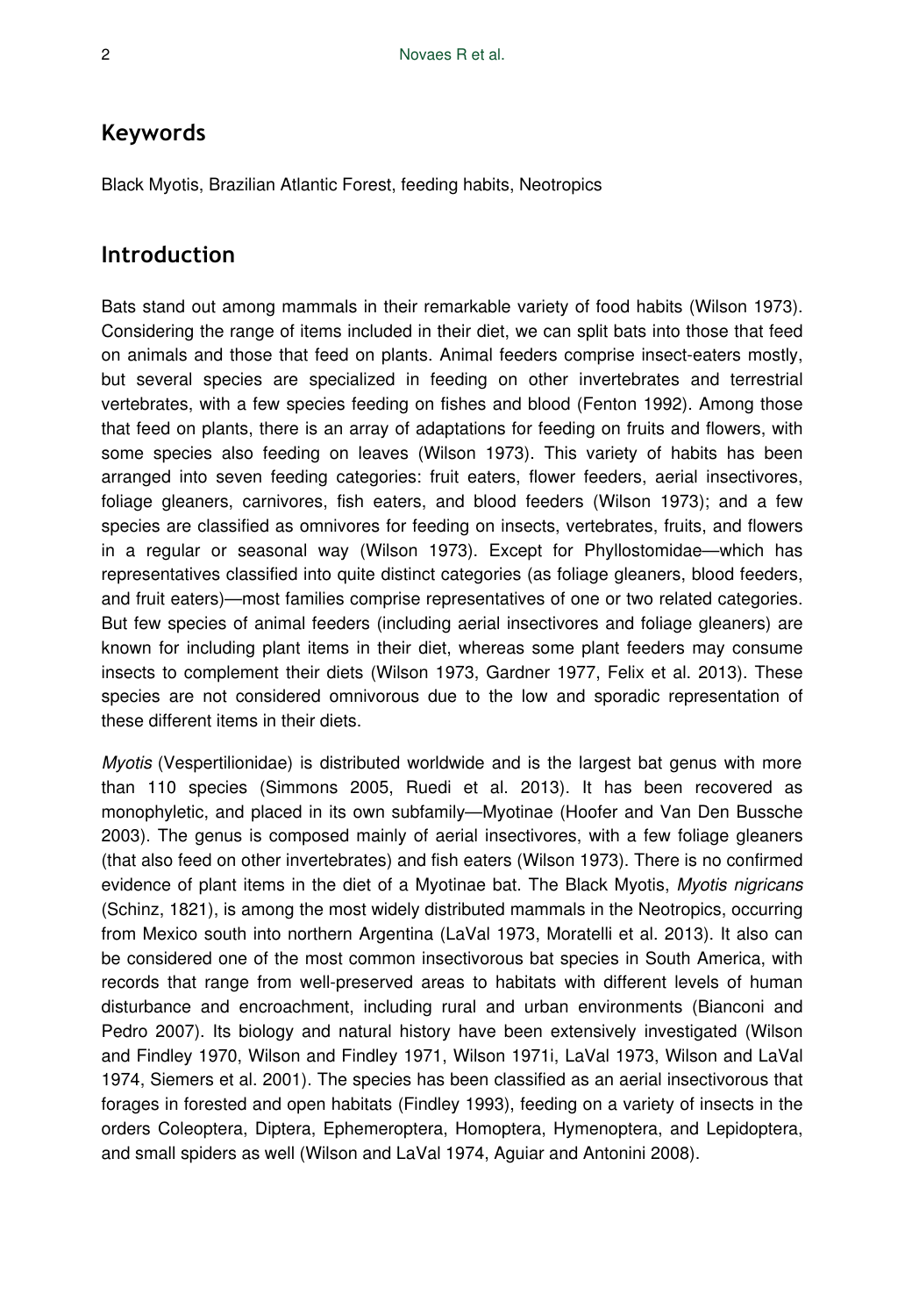## **Keywords**

Black Myotis, Brazilian Atlantic Forest, feeding habits, Neotropics

#### **Introduction**

Bats stand out among mammals in their remarkable variety of food habits (Wilson 1973). Considering the range of items included in their diet, we can split bats into those that feed on animals and those that feed on plants. Animal feeders comprise insect-eaters mostly, but several species are specialized in feeding on other invertebrates and terrestrial vertebrates, with a few species feeding on fishes and blood (Fenton 1992). Among those that feed on plants, there is an array of adaptations for feeding on fruits and flowers, with some species also feeding on leaves (Wilson 1973). This variety of habits has been arranged into seven feeding categories: fruit eaters, flower feeders, aerial insectivores, foliage gleaners, carnivores, fish eaters, and blood feeders (Wilson 1973); and a few species are classified as omnivores for feeding on insects, vertebrates, fruits, and flowers in a regular or seasonal way (Wilson 1973). Except for Phyllostomidae—which has representatives classified into quite distinct categories (as foliage gleaners, blood feeders, and fruit eaters)—most families comprise representatives of one or two related categories. But few species of animal feeders (including aerial insectivores and foliage gleaners) are known for including plant items in their diet, whereas some plant feeders may consume insects to complement their diets (Wilson 1973, Gardner 1977, Felix et al. 2013). These species are not considered omnivorous due to the low and sporadic representation of these different items in their diets.

*Myotis* (Vespertilionidae) is distributed worldwide and is the largest bat genus with more than 110 species (Simmons 2005, Ruedi et al. 2013). It has been recovered as monophyletic, and placed in its own subfamily—Myotinae (Hoofer and Van Den Bussche 2003). The genus is composed mainly of aerial insectivores, with a few foliage gleaners (that also feed on other invertebrates) and fish eaters (Wilson 1973). There is no confirmed evidence of plant items in the diet of a Myotinae bat. The Black Myotis, *Myotis nigricans* (Schinz, 1821), is among the most widely distributed mammals in the Neotropics, occurring from Mexico south into northern Argentina (LaVal 1973, Moratelli et al. 2013). It also can be considered one of the most common insectivorous bat species in South America, with records that range from well-preserved areas to habitats with different levels of human disturbance and encroachment, including rural and urban environments (Bianconi and Pedro 2007). Its biology and natural history have been extensively investigated (Wilson and Findley 1970, Wilson and Findley 1971, Wilson 1971i, LaVal 1973, Wilson and LaVal 1974, Siemers et al. 2001). The species has been classified as an aerial insectivorous that forages in forested and open habitats (Findley 1993), feeding on a variety of insects in the orders Coleoptera, Diptera, Ephemeroptera, Homoptera, Hymenoptera, and Lepidoptera, and small spiders as well (Wilson and LaVal 1974, Aguiar and Antonini 2008).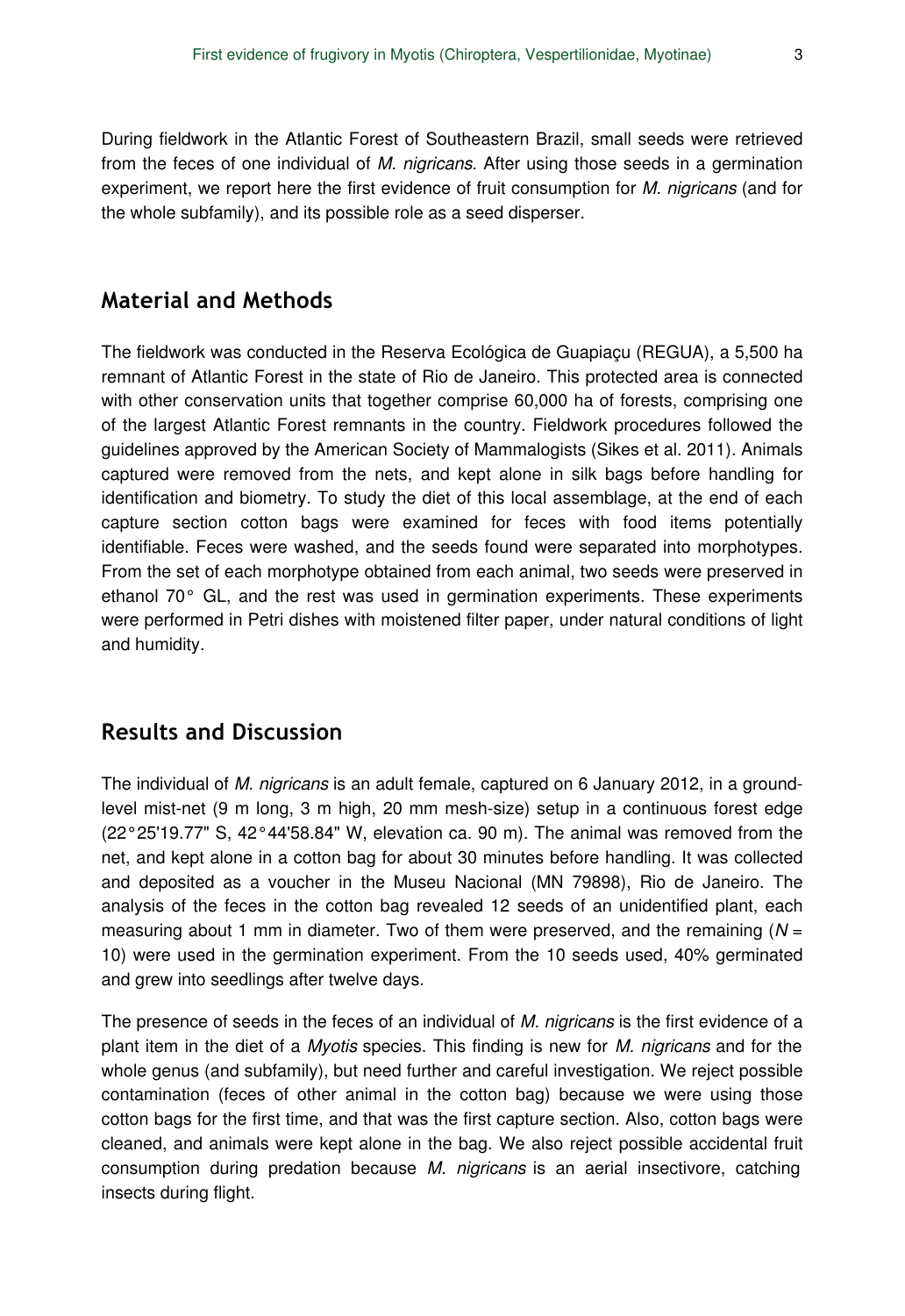During fieldwork in the Atlantic Forest of Southeastern Brazil, small seeds were retrieved from the feces of one individual of *M. nigricans*. After using those seeds in a germination experiment, we report here the first evidence of fruit consumption for *M. nigricans* (and for the whole subfamily), and its possible role as a seed disperser.

## **Material and Methods**

The fieldwork was conducted in the Reserva Ecológica de Guapiaçu (REGUA), a 5,500 ha remnant of Atlantic Forest in the state of Rio de Janeiro. This protected area is connected with other conservation units that together comprise 60,000 ha of forests, comprising one of the largest Atlantic Forest remnants in the country. Fieldwork procedures followed the guidelines approved by the American Society of Mammalogists (Sikes et al. 2011). Animals captured were removed from the nets, and kept alone in silk bags before handling for identification and biometry. To study the diet of this local assemblage, at the end of each capture section cotton bags were examined for feces with food items potentially identifiable. Feces were washed, and the seeds found were separated into morphotypes. From the set of each morphotype obtained from each animal, two seeds were preserved in ethanol 70° GL, and the rest was used in germination experiments. These experiments were performed in Petri dishes with moistened filter paper, under natural conditions of light and humidity.

## **Results and Discussion**

The individual of *M. nigricans* is an adult female, captured on 6 January 2012, in a groundlevel mist-net (9 m long, 3 m high, 20 mm mesh-size) setup in a continuous forest edge (22°25'19.77" S, 42°44'58.84" W, elevation ca. 90 m). The animal was removed from the net, and kept alone in a cotton bag for about 30 minutes before handling. It was collected and deposited as a voucher in the Museu Nacional (MN 79898), Rio de Janeiro. The analysis of the feces in the cotton bag revealed 12 seeds of an unidentified plant, each measuring about 1 mm in diameter. Two of them were preserved, and the remaining (*N* = 10) were used in the germination experiment. From the 10 seeds used, 40% germinated and grew into seedlings after twelve days.

The presence of seeds in the feces of an individual of *M. nigricans* is the first evidence of a plant item in the diet of a *Myotis* species. This finding is new for *M. nigricans* and for the whole genus (and subfamily), but need further and careful investigation. We reject possible contamination (feces of other animal in the cotton bag) because we were using those cotton bags for the first time, and that was the first capture section. Also, cotton bags were cleaned, and animals were kept alone in the bag. We also reject possible accidental fruit consumption during predation because *M. nigricans* is an aerial insectivore, catching insects during flight.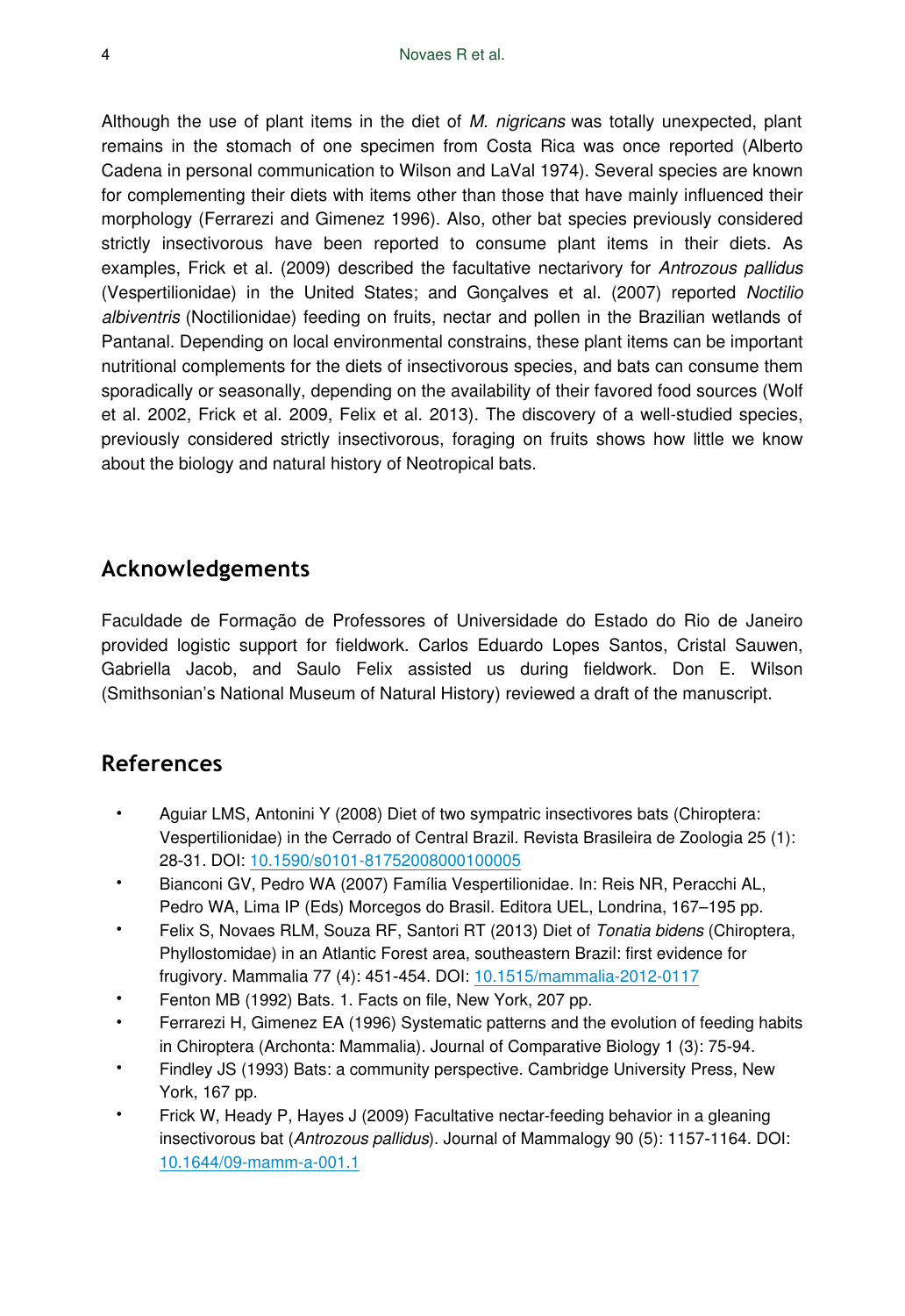Although the use of plant items in the diet of *M. nigricans* was totally unexpected, plant remains in the stomach of one specimen from Costa Rica was once reported (Alberto Cadena in personal communication to Wilson and LaVal 1974). Several species are known for complementing their diets with items other than those that have mainly influenced their morphology (Ferrarezi and Gimenez 1996). Also, other bat species previously considered strictly insectivorous have been reported to consume plant items in their diets. As examples, Frick et al. (2009) described the facultative nectarivory for *Antrozous pallidus* (Vespertilionidae) in the United States; and Gonçalves et al. (2007) reported *Noctilio albiventris* (Noctilionidae) feeding on fruits, nectar and pollen in the Brazilian wetlands of Pantanal. Depending on local environmental constrains, these plant items can be important nutritional complements for the diets of insectivorous species, and bats can consume them sporadically or seasonally, depending on the availability of their favored food sources (Wolf et al. 2002, Frick et al. 2009, Felix et al. 2013). The discovery of a well-studied species, previously considered strictly insectivorous, foraging on fruits shows how little we know about the biology and natural history of Neotropical bats.

## **Acknowledgements**

Faculdade de Formação de Professores of Universidade do Estado do Rio de Janeiro provided logistic support for fieldwork. Carlos Eduardo Lopes Santos, Cristal Sauwen, Gabriella Jacob, and Saulo Felix assisted us during fieldwork. Don E. Wilson (Smithsonian's National Museum of Natural History) reviewed a draft of the manuscript.

# **References**

- Aguiar LMS, Antonini Y (2008) Diet of two sympatric insectivores bats (Chiroptera: Vespertilionidae) in the Cerrado of Central Brazil. Revista Brasileira de Zoologia 25 (1): 28‑31. DOI: [10.1590/s0101-81752008000100005](http://dx.doi.org/10.1590/s0101-81752008000100005)
- Bianconi GV, Pedro WA (2007) Família Vespertilionidae. In: Reis NR, Peracchi AL, Pedro WA, Lima IP (Eds) Morcegos do Brasil. Editora UEL, Londrina, 167–195 pp.
- Felix S, Novaes RLM, Souza RF, Santori RT (2013) Diet of *Tonatia bidens* (Chiroptera, Phyllostomidae) in an Atlantic Forest area, southeastern Brazil: first evidence for frugivory. Mammalia 77 (4): 451‑454. DOI: [10.1515/mammalia-2012-0117](http://dx.doi.org/10.1515/mammalia-2012-0117)
- Fenton MB (1992) Bats. 1. Facts on file, New York, 207 pp.
- Ferrarezi H, Gimenez EA (1996) Systematic patterns and the evolution of feeding habits in Chiroptera (Archonta: Mammalia). Journal of Comparative Biology 1 (3): 75‑94.
- Findley JS (1993) Bats: a community perspective. Cambridge University Press, New York, 167 pp.
- Frick W, Heady P, Hayes J (2009) Facultative nectar-feeding behavior in a gleaning insectivorous bat (*Antrozous pallidus*). Journal of Mammalogy 90 (5): 1157‑1164. DOI: [10.1644/09-mamm-a-001.1](http://dx.doi.org/10.1644/09-mamm-a-001.1)